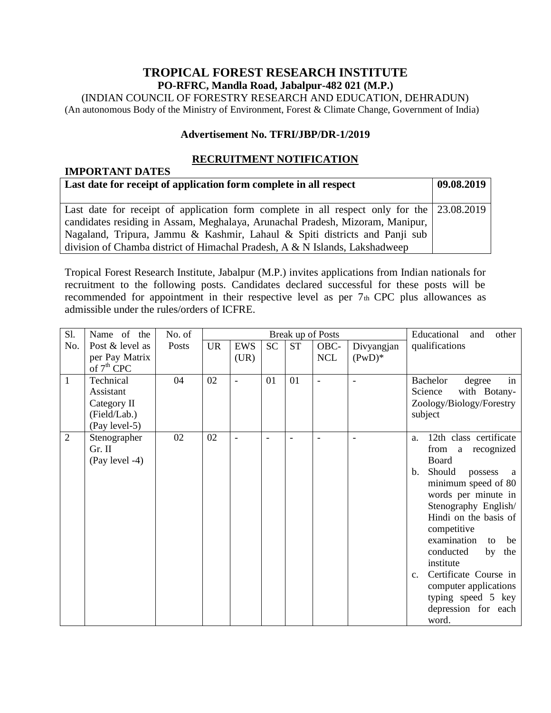## **TROPICAL FOREST RESEARCH INSTITUTE PO-RFRC, Mandla Road, Jabalpur-482 021 (M.P.)**

(INDIAN COUNCIL OF FORESTRY RESEARCH AND EDUCATION, DEHRADUN) (An autonomous Body of the Ministry of Environment, Forest & Climate Change, Government of India)

#### **Advertisement No. TFRI/JBP/DR-1/2019**

### **RECRUITMENT NOTIFICATION**

## **IMPORTANT DATES Last date for receipt of application form complete in all respect**  $\begin{bmatrix} 09.08.2019 \end{bmatrix}$ Last date for receipt of application form complete in all respect only for the candidates residing in Assam, Meghalaya, Arunachal Pradesh, Mizoram, Manipur, Nagaland, Tripura, Jammu & Kashmir, Lahaul & Spiti districts and Panji sub division of Chamba district of Himachal Pradesh, A & N Islands, Lakshadweep 23.08.2019

Tropical Forest Research Institute, Jabalpur (M.P.) invites applications from Indian nationals for recruitment to the following posts. Candidates declared successful for these posts will be recommended for appointment in their respective level as per  $7<sub>th</sub>$  CPC plus allowances as admissible under the rules/orders of ICFRE.

| Sl.          | Name of the                                                            | No. of | Break up of Posts |                    |                          |                |                    | Educational<br>and<br>other |                                                                                                                                                                                                                                                                                                                                                                                                                    |
|--------------|------------------------------------------------------------------------|--------|-------------------|--------------------|--------------------------|----------------|--------------------|-----------------------------|--------------------------------------------------------------------------------------------------------------------------------------------------------------------------------------------------------------------------------------------------------------------------------------------------------------------------------------------------------------------------------------------------------------------|
| No.          | Post & level as<br>per Pay Matrix                                      | Posts  | <b>UR</b>         | <b>EWS</b><br>(UR) | <b>SC</b>                | <b>ST</b>      | OBC-<br><b>NCL</b> | Divyangjan<br>$(PwD)^*$     | qualifications                                                                                                                                                                                                                                                                                                                                                                                                     |
|              | of $7th$ CPC                                                           |        |                   |                    |                          |                |                    |                             |                                                                                                                                                                                                                                                                                                                                                                                                                    |
| $\mathbf{1}$ | Technical<br>Assistant<br>Category II<br>(Field/Lab.)<br>(Pay level-5) | 04     | 02                |                    | 01                       | 01             | $\blacksquare$     |                             | in<br>Bachelor<br>degree<br>Science<br>with Botany-<br>Zoology/Biology/Forestry<br>subject                                                                                                                                                                                                                                                                                                                         |
| 2            | Stenographer<br>Gr. II<br>(Pay level -4)                               | 02     | 02                | $\overline{a}$     | $\overline{\phantom{a}}$ | $\blacksquare$ |                    |                             | 12th class certificate<br>a.<br>from<br>recognized<br>a<br>Board<br>Should<br>$b_{\cdot}$<br>possess<br>a<br>minimum speed of 80<br>words per minute in<br>Stenography English/<br>Hindi on the basis of<br>competitive<br>examination<br>be<br>to<br>conducted<br>by<br>the<br>institute<br>Certificate Course in<br>$C_{\bullet}$<br>computer applications<br>typing speed 5 key<br>depression for each<br>word. |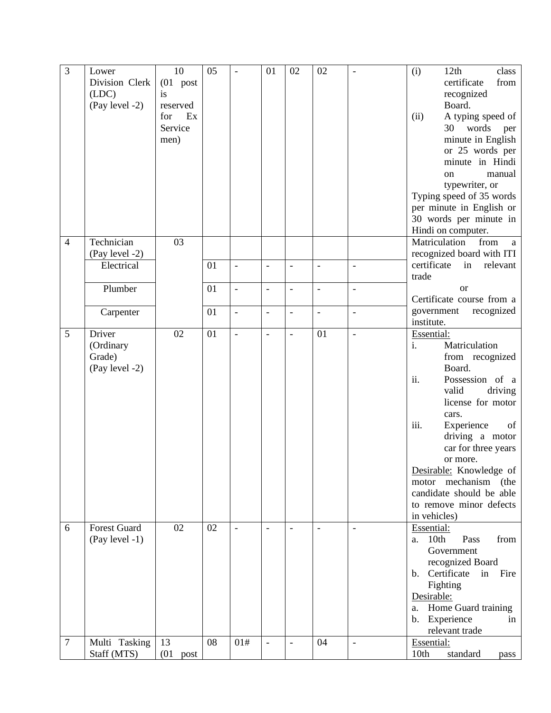| $\mathfrak{Z}$ | Lower               | 10           | 05 |                          | 01                       | 02                       | 02                       | $\overline{a}$           | 12th<br>class<br>(i)            |
|----------------|---------------------|--------------|----|--------------------------|--------------------------|--------------------------|--------------------------|--------------------------|---------------------------------|
|                | Division Clerk      | $(01$ post   |    |                          |                          |                          |                          |                          | certificate<br>from             |
|                | (LDC)               | is           |    |                          |                          |                          |                          |                          | recognized                      |
|                | (Pay level -2)      | reserved     |    |                          |                          |                          |                          |                          | Board.                          |
|                |                     | Ex<br>for    |    |                          |                          |                          |                          |                          | A typing speed of<br>(ii)       |
|                |                     | Service      |    |                          |                          |                          |                          |                          | 30<br>words<br>per              |
|                |                     | men)         |    |                          |                          |                          |                          |                          | minute in English               |
|                |                     |              |    |                          |                          |                          |                          |                          | or 25 words per                 |
|                |                     |              |    |                          |                          |                          |                          |                          | minute in Hindi                 |
|                |                     |              |    |                          |                          |                          |                          |                          | manual<br>on                    |
|                |                     |              |    |                          |                          |                          |                          |                          | typewriter, or                  |
|                |                     |              |    |                          |                          |                          |                          |                          | Typing speed of 35 words        |
|                |                     |              |    |                          |                          |                          |                          |                          | per minute in English or        |
|                |                     |              |    |                          |                          |                          |                          |                          | 30 words per minute in          |
|                |                     |              |    |                          |                          |                          |                          |                          | Hindi on computer.              |
| $\overline{4}$ | Technician          | 03           |    |                          |                          |                          |                          |                          | Matriculation<br>from<br>a      |
|                | (Pay level -2)      |              |    |                          |                          |                          |                          |                          | recognized board with ITI       |
|                | Electrical          |              | 01 | $\overline{\phantom{0}}$ | $\overline{\phantom{a}}$ | $\overline{\phantom{a}}$ | $\overline{a}$           | $\blacksquare$           | certificate<br>relevant<br>in   |
|                |                     |              |    |                          |                          |                          |                          |                          | trade                           |
|                | Plumber             |              | 01 | $\overline{\phantom{a}}$ | $\overline{\phantom{a}}$ | $\frac{1}{2}$            | $\overline{\phantom{a}}$ | $\overline{\phantom{a}}$ | <sub>or</sub>                   |
|                |                     |              |    |                          |                          |                          |                          |                          | Certificate course from a       |
|                | Carpenter           |              | 01 | $\overline{\phantom{a}}$ | $\overline{\phantom{0}}$ | $\overline{a}$           | $\overline{\phantom{0}}$ | $\overline{a}$           | government<br>recognized        |
|                |                     |              |    |                          |                          |                          |                          |                          | institute.                      |
| 5              | Driver              | 02           | 01 | $\overline{a}$           |                          | $\overline{a}$           | 01                       | $\overline{a}$           | Essential:                      |
|                | (Ordinary           |              |    |                          |                          |                          |                          |                          | i.<br>Matriculation             |
|                | Grade)              |              |    |                          |                          |                          |                          |                          | from recognized                 |
|                | (Pay level -2)      |              |    |                          |                          |                          |                          |                          | Board.                          |
|                |                     |              |    |                          |                          |                          |                          |                          | ii.<br>Possession of a          |
|                |                     |              |    |                          |                          |                          |                          |                          | valid<br>driving                |
|                |                     |              |    |                          |                          |                          |                          |                          | license for motor               |
|                |                     |              |    |                          |                          |                          |                          |                          | cars.                           |
|                |                     |              |    |                          |                          |                          |                          |                          | iii.<br>Experience<br>of        |
|                |                     |              |    |                          |                          |                          |                          |                          | driving a motor                 |
|                |                     |              |    |                          |                          |                          |                          |                          | car for three years             |
|                |                     |              |    |                          |                          |                          |                          |                          | or more.                        |
|                |                     |              |    |                          |                          |                          |                          |                          | Desirable: Knowledge of         |
|                |                     |              |    |                          |                          |                          |                          |                          | motor mechanism<br>(the         |
|                |                     |              |    |                          |                          |                          |                          |                          | candidate should be able        |
|                |                     |              |    |                          |                          |                          |                          |                          | to remove minor defects         |
|                |                     |              |    |                          |                          |                          |                          |                          | in vehicles)                    |
| 6              | <b>Forest Guard</b> | 02           | 02 |                          | $\overline{\phantom{0}}$ |                          |                          | $\overline{\phantom{a}}$ | Essential:                      |
|                | $(Pay level -1)$    |              |    |                          |                          |                          |                          |                          | 10th<br>Pass<br>from<br>a.      |
|                |                     |              |    |                          |                          |                          |                          |                          | Government                      |
|                |                     |              |    |                          |                          |                          |                          |                          | recognized Board                |
|                |                     |              |    |                          |                          |                          |                          |                          | Certificate<br>Fire<br>in<br>b. |
|                |                     |              |    |                          |                          |                          |                          |                          | Fighting                        |
|                |                     |              |    |                          |                          |                          |                          |                          | Desirable:                      |
|                |                     |              |    |                          |                          |                          |                          |                          | Home Guard training<br>a.       |
|                |                     |              |    |                          |                          |                          |                          |                          | b. Experience<br>in             |
|                |                     |              |    |                          |                          |                          |                          |                          | relevant trade                  |
| $\overline{7}$ | Multi Tasking       | 13           | 08 | 01#                      | $\overline{\phantom{a}}$ |                          | 04                       | $\overline{\phantom{a}}$ | Essential:                      |
|                | Staff (MTS)         | (01)<br>post |    |                          |                          |                          |                          |                          | 10th<br>standard<br>pass        |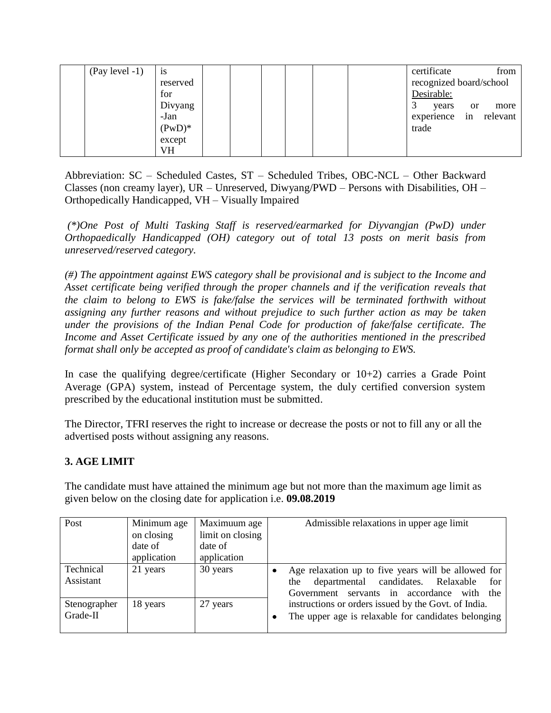| $(Pay level -1)$ | 1S        |  |  |  | certificate             |               | from     |
|------------------|-----------|--|--|--|-------------------------|---------------|----------|
|                  | reserved  |  |  |  | recognized board/school |               |          |
|                  | for       |  |  |  | Desirable:              |               |          |
|                  | Divyang   |  |  |  | years                   | <sub>or</sub> | more     |
|                  | -Jan      |  |  |  | experience              | in            | relevant |
|                  | $(PwD)^*$ |  |  |  | trade                   |               |          |
|                  | except    |  |  |  |                         |               |          |
|                  | VH        |  |  |  |                         |               |          |

Abbreviation: SC – Scheduled Castes, ST – Scheduled Tribes, OBC-NCL – Other Backward Classes (non creamy layer), UR – Unreserved, Diwyang/PWD – Persons with Disabilities, OH – Orthopedically Handicapped, VH – Visually Impaired

*(\*)One Post of Multi Tasking Staff is reserved/earmarked for Diyvangjan (PwD) under Orthopaedically Handicapped (OH) category out of total 13 posts on merit basis from unreserved/reserved category.*

*(#) The appointment against EWS category shall be provisional and is subject to the Income and Asset certificate being verified through the proper channels and if the verification reveals that the claim to belong to EWS is fake/false the services will be terminated forthwith without assigning any further reasons and without prejudice to such further action as may be taken under the provisions of the Indian Penal Code for production of fake/false certificate. The Income and Asset Certificate issued by any one of the authorities mentioned in the prescribed format shall only be accepted as proof of candidate's claim as belonging to EWS.*

In case the qualifying degree/certificate (Higher Secondary or 10+2) carries a Grade Point Average (GPA) system, instead of Percentage system, the duly certified conversion system prescribed by the educational institution must be submitted.

The Director, TFRI reserves the right to increase or decrease the posts or not to fill any or all the advertised posts without assigning any reasons.

# **3. AGE LIMIT**

The candidate must have attained the minimum age but not more than the maximum age limit as given below on the closing date for application i.e. **09.08.2019**

| Post                     | Minimum age | Maximuum age     | Admissible relaxations in upper age limit                                                                   |
|--------------------------|-------------|------------------|-------------------------------------------------------------------------------------------------------------|
|                          | on closing  | limit on closing |                                                                                                             |
|                          | date of     | date of          |                                                                                                             |
|                          | application | application      |                                                                                                             |
| Technical<br>Assistant   | 21 years    | 30 years         | Age relaxation up to five years will be allowed for<br>departmental candidates. Relaxable<br>for<br>the     |
|                          |             |                  | Government servants in accordance with the                                                                  |
| Stenographer<br>Grade-II | 18 years    | 27 years         | instructions or orders issued by the Govt. of India.<br>The upper age is relaxable for candidates belonging |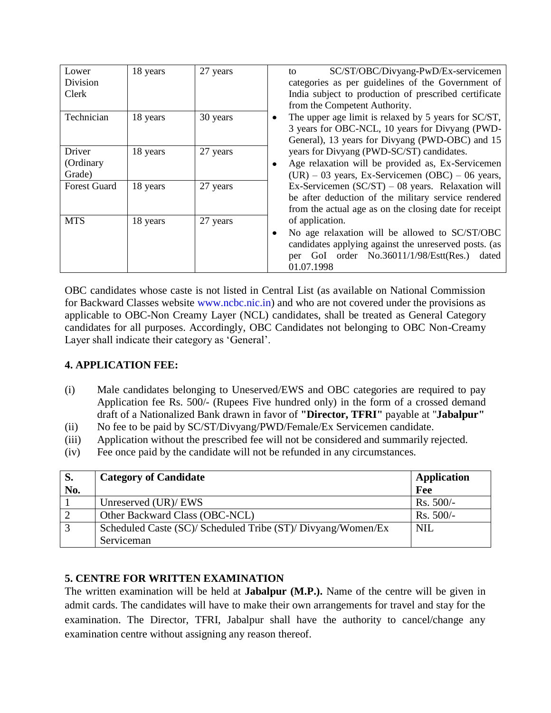| Lower               | 18 years | 27 years | SC/ST/OBC/Divyang-PwD/Ex-servicemen<br>to                 |
|---------------------|----------|----------|-----------------------------------------------------------|
| Division            |          |          | categories as per guidelines of the Government of         |
| Clerk               |          |          | India subject to production of prescribed certificate     |
|                     |          |          | from the Competent Authority.                             |
| Technician          | 18 years | 30 years | The upper age limit is relaxed by 5 years for SC/ST,<br>٠ |
|                     |          |          | 3 years for OBC-NCL, 10 years for Divyang (PWD-           |
|                     |          |          | General), 13 years for Divyang (PWD-OBC) and 15           |
| Driver              | 18 years | 27 years | years for Divyang (PWD-SC/ST) candidates.                 |
| (Ordinary           |          |          | Age relaxation will be provided as, Ex-Servicemen         |
| Grade)              |          |          | $(UR) - 03$ years, Ex-Servicemen $(OBC) - 06$ years,      |
| <b>Forest Guard</b> | 18 years | 27 years | Ex-Servicemen $(SC/ST) - 08$ years. Relaxation will       |
|                     |          |          | be after deduction of the military service rendered       |
|                     |          |          | from the actual age as on the closing date for receipt    |
| <b>MTS</b>          | 18 years | 27 years | of application.                                           |
|                     |          |          | No age relaxation will be allowed to SC/ST/OBC            |
|                     |          |          | candidates applying against the unreserved posts. (as     |
|                     |          |          | per GoI order No.36011/1/98/Estt(Res.) dated              |
|                     |          |          | 01.07.1998                                                |

OBC candidates whose caste is not listed in Central List (as available on National Commission for Backward Classes website www.ncbc.nic.in) and who are not covered under the provisions as applicable to OBC-Non Creamy Layer (NCL) candidates, shall be treated as General Category candidates for all purposes. Accordingly, OBC Candidates not belonging to OBC Non-Creamy Layer shall indicate their category as 'General'.

## **4. APPLICATION FEE:**

- (i) Male candidates belonging to Uneserved/EWS and OBC categories are required to pay Application fee Rs. 500/- (Rupees Five hundred only) in the form of a crossed demand draft of a Nationalized Bank drawn in favor of **"Director, TFRI"** payable at "**Jabalpur"**
- (ii) No fee to be paid by SC/ST/Divyang/PWD/Female/Ex Servicemen candidate.
- (iii) Application without the prescribed fee will not be considered and summarily rejected.
- (iv) Fee once paid by the candidate will not be refunded in any circumstances.

| S.           | <b>Category of Candidate</b>                                 | <b>Application</b> |
|--------------|--------------------------------------------------------------|--------------------|
| No.          |                                                              | Fee                |
|              | Unreserved (UR)/ EWS                                         | $Rs. 500/-$        |
|              | Other Backward Class (OBC-NCL)                               | $Rs. 500/-$        |
| $\mathbf{c}$ | Scheduled Caste (SC)/ Scheduled Tribe (ST)/ Divyang/Women/Ex | NIL                |
|              | Serviceman                                                   |                    |

# **5. CENTRE FOR WRITTEN EXAMINATION**

The written examination will be held at **Jabalpur (M.P.).** Name of the centre will be given in admit cards. The candidates will have to make their own arrangements for travel and stay for the examination. The Director, TFRI, Jabalpur shall have the authority to cancel/change any examination centre without assigning any reason thereof.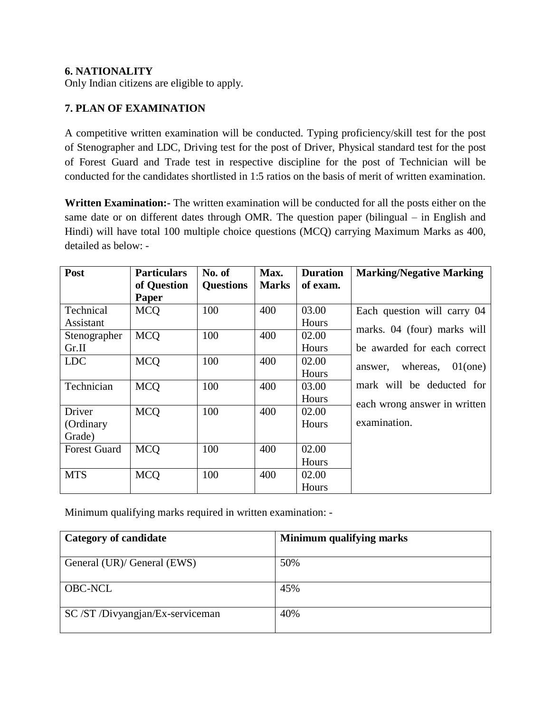## **6. NATIONALITY**

Only Indian citizens are eligible to apply.

## **7. PLAN OF EXAMINATION**

A competitive written examination will be conducted. Typing proficiency/skill test for the post of Stenographer and LDC, Driving test for the post of Driver, Physical standard test for the post of Forest Guard and Trade test in respective discipline for the post of Technician will be conducted for the candidates shortlisted in 1:5 ratios on the basis of merit of written examination.

**Written Examination:-** The written examination will be conducted for all the posts either on the same date or on different dates through OMR. The question paper (bilingual – in English and Hindi) will have total 100 multiple choice questions (MCQ) carrying Maximum Marks as 400, detailed as below: -

| Post                | <b>Particulars</b> | No. of           | Max.         | <b>Duration</b> | <b>Marking/Negative Marking</b> |
|---------------------|--------------------|------------------|--------------|-----------------|---------------------------------|
|                     | of Question        | <b>Questions</b> | <b>Marks</b> | of exam.        |                                 |
|                     | Paper              |                  |              |                 |                                 |
| Technical           | <b>MCQ</b>         | 100              | 400          | 03.00           | Each question will carry 04     |
| Assistant           |                    |                  |              | Hours           |                                 |
| Stenographer        | <b>MCO</b>         | 100              | 400          | 02.00           | marks. 04 (four) marks will     |
| Gr.II               |                    |                  |              | Hours           | be awarded for each correct     |
| <b>LDC</b>          | <b>MCQ</b>         | 100              | 400          | 02.00           | whereas,<br>$01$ (one)          |
|                     |                    |                  |              | Hours           | answer.                         |
| Technician          | <b>MCO</b>         | 100              | 400          | 03.00           | mark will be deducted for       |
|                     |                    |                  |              | Hours           | each wrong answer in written    |
| Driver              | <b>MCO</b>         | 100              | 400          | 02.00           |                                 |
| (Ordinary           |                    |                  |              | Hours           | examination.                    |
| Grade)              |                    |                  |              |                 |                                 |
| <b>Forest Guard</b> | <b>MCO</b>         | 100              | 400          | 02.00           |                                 |
|                     |                    |                  |              | Hours           |                                 |
| <b>MTS</b>          | <b>MCO</b>         | 100              | 400          | 02.00           |                                 |
|                     |                    |                  |              | Hours           |                                 |

Minimum qualifying marks required in written examination: -

| <b>Category of candidate</b>   | Minimum qualifying marks |
|--------------------------------|--------------------------|
| General (UR)/ General (EWS)    | 50%                      |
| <b>OBC-NCL</b>                 | 45%                      |
| SC/ST/Divyangjan/Ex-serviceman | 40%                      |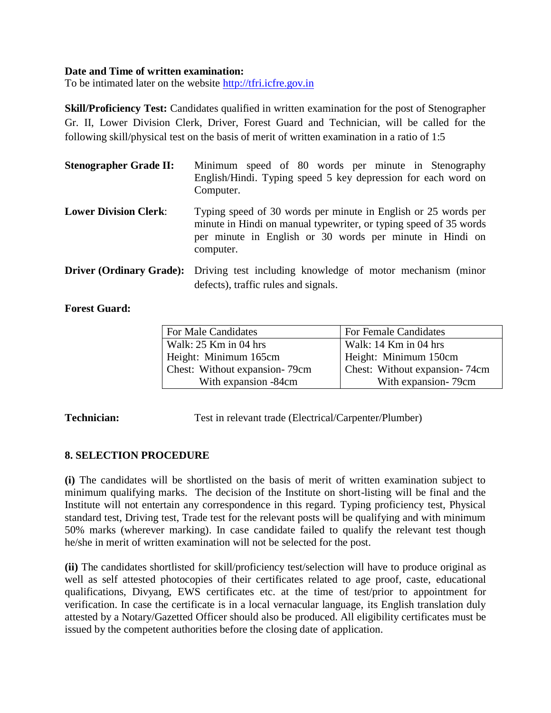### **Date and Time of written examination:**

To be intimated later on the website [http://tfri.icfre.gov.in](http://tfri.icfre.gov.in/)

**Skill/Proficiency Test:** Candidates qualified in written examination for the post of Stenographer Gr. II, Lower Division Clerk, Driver, Forest Guard and Technician, will be called for the following skill/physical test on the basis of merit of written examination in a ratio of 1:5

| <b>Stenographer Grade II:</b> | Minimum speed of 80 words per minute in Stenography<br>English/Hindi. Typing speed 5 key depression for each word on<br>Computer.                                                                            |
|-------------------------------|--------------------------------------------------------------------------------------------------------------------------------------------------------------------------------------------------------------|
| <b>Lower Division Clerk:</b>  | Typing speed of 30 words per minute in English or 25 words per<br>minute in Hindi on manual typewriter, or typing speed of 35 words<br>per minute in English or 30 words per minute in Hindi on<br>computer. |
|                               | <b>Driver (Ordinary Grade):</b> Driving test including knowledge of motor mechanism (minor<br>defects), traffic rules and signals.                                                                           |

### **Forest Guard:**

| For Male Candidates           | For Female Candidates         |
|-------------------------------|-------------------------------|
| Walk: $25$ Km in 04 hrs       | Walk: 14 Km in 04 hrs         |
| Height: Minimum 165cm         | Height: Minimum 150cm         |
| Chest: Without expansion-79cm | Chest: Without expansion-74cm |
| With expansion -84cm          | With expansion-79cm           |

**Technician:** Test in relevant trade (Electrical/Carpenter/Plumber)

## **8. SELECTION PROCEDURE**

**(i)** The candidates will be shortlisted on the basis of merit of written examination subject to minimum qualifying marks. The decision of the Institute on short-listing will be final and the Institute will not entertain any correspondence in this regard. Typing proficiency test, Physical standard test, Driving test, Trade test for the relevant posts will be qualifying and with minimum 50% marks (wherever marking). In case candidate failed to qualify the relevant test though he/she in merit of written examination will not be selected for the post.

**(ii)** The candidates shortlisted for skill/proficiency test/selection will have to produce original as well as self attested photocopies of their certificates related to age proof, caste, educational qualifications, Divyang, EWS certificates etc. at the time of test/prior to appointment for verification. In case the certificate is in a local vernacular language, its English translation duly attested by a Notary/Gazetted Officer should also be produced. All eligibility certificates must be issued by the competent authorities before the closing date of application.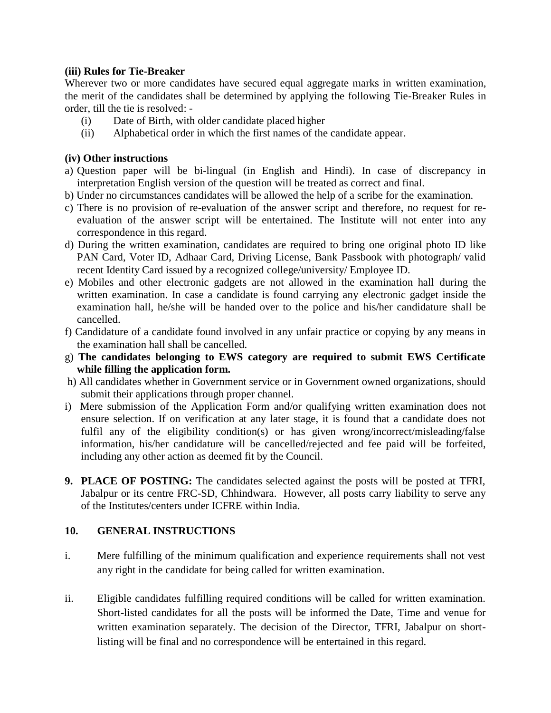### **(iii) Rules for Tie-Breaker**

Wherever two or more candidates have secured equal aggregate marks in written examination, the merit of the candidates shall be determined by applying the following Tie-Breaker Rules in order, till the tie is resolved: -

- (i) Date of Birth, with older candidate placed higher
- (ii) Alphabetical order in which the first names of the candidate appear.

### **(iv) Other instructions**

- a) Question paper will be bi-lingual (in English and Hindi). In case of discrepancy in interpretation English version of the question will be treated as correct and final.
- b) Under no circumstances candidates will be allowed the help of a scribe for the examination.
- c) There is no provision of re-evaluation of the answer script and therefore, no request for reevaluation of the answer script will be entertained. The Institute will not enter into any correspondence in this regard.
- d) During the written examination, candidates are required to bring one original photo ID like PAN Card, Voter ID, Adhaar Card, Driving License, Bank Passbook with photograph/ valid recent Identity Card issued by a recognized college/university/ Employee ID.
- e) Mobiles and other electronic gadgets are not allowed in the examination hall during the written examination. In case a candidate is found carrying any electronic gadget inside the examination hall, he/she will be handed over to the police and his/her candidature shall be cancelled.
- f) Candidature of a candidate found involved in any unfair practice or copying by any means in the examination hall shall be cancelled.
- g) **The candidates belonging to EWS category are required to submit EWS Certificate while filling the application form.**
- h) All candidates whether in Government service or in Government owned organizations, should submit their applications through proper channel.
- i) Mere submission of the Application Form and/or qualifying written examination does not ensure selection. If on verification at any later stage, it is found that a candidate does not fulfil any of the eligibility condition(s) or has given wrong/incorrect/misleading/false information, his/her candidature will be cancelled/rejected and fee paid will be forfeited, including any other action as deemed fit by the Council.
- **9. PLACE OF POSTING:** The candidates selected against the posts will be posted at TFRI, Jabalpur or its centre FRC-SD, Chhindwara. However, all posts carry liability to serve any of the Institutes/centers under ICFRE within India.

### **10. GENERAL INSTRUCTIONS**

- i. Mere fulfilling of the minimum qualification and experience requirements shall not vest any right in the candidate for being called for written examination.
- ii. Eligible candidates fulfilling required conditions will be called for written examination. Short-listed candidates for all the posts will be informed the Date, Time and venue for written examination separately. The decision of the Director, TFRI, Jabalpur on shortlisting will be final and no correspondence will be entertained in this regard.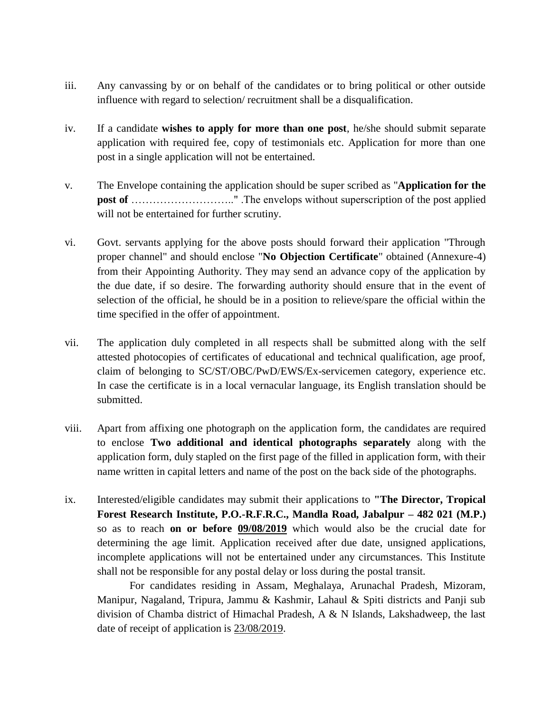- iii. Any canvassing by or on behalf of the candidates or to bring political or other outside influence with regard to selection/ recruitment shall be a disqualification.
- iv. If a candidate **wishes to apply for more than one post**, he/she should submit separate application with required fee, copy of testimonials etc. Application for more than one post in a single application will not be entertained.
- v. The Envelope containing the application should be super scribed as "**Application for the post of** ………………………………………". The envelops without superscription of the post applied will not be entertained for further scrutiny.
- vi. Govt. servants applying for the above posts should forward their application "Through proper channel" and should enclose "**No Objection Certificate**" obtained (Annexure-4) from their Appointing Authority. They may send an advance copy of the application by the due date, if so desire. The forwarding authority should ensure that in the event of selection of the official, he should be in a position to relieve/spare the official within the time specified in the offer of appointment.
- vii. The application duly completed in all respects shall be submitted along with the self attested photocopies of certificates of educational and technical qualification, age proof, claim of belonging to SC/ST/OBC/PwD/EWS/Ex-servicemen category, experience etc. In case the certificate is in a local vernacular language, its English translation should be submitted.
- viii. Apart from affixing one photograph on the application form, the candidates are required to enclose **Two additional and identical photographs separately** along with the application form, duly stapled on the first page of the filled in application form, with their name written in capital letters and name of the post on the back side of the photographs.
- ix. Interested/eligible candidates may submit their applications to **"The Director, Tropical Forest Research Institute, P.O.-R.F.R.C., Mandla Road, Jabalpur – 482 021 (M.P.)**  so as to reach **on or before 09/08/2019** which would also be the crucial date for determining the age limit. Application received after due date, unsigned applications, incomplete applications will not be entertained under any circumstances. This Institute shall not be responsible for any postal delay or loss during the postal transit.

For candidates residing in Assam, Meghalaya, Arunachal Pradesh, Mizoram, Manipur, Nagaland, Tripura, Jammu & Kashmir, Lahaul & Spiti districts and Panji sub division of Chamba district of Himachal Pradesh, A & N Islands, Lakshadweep, the last date of receipt of application is 23/08/2019.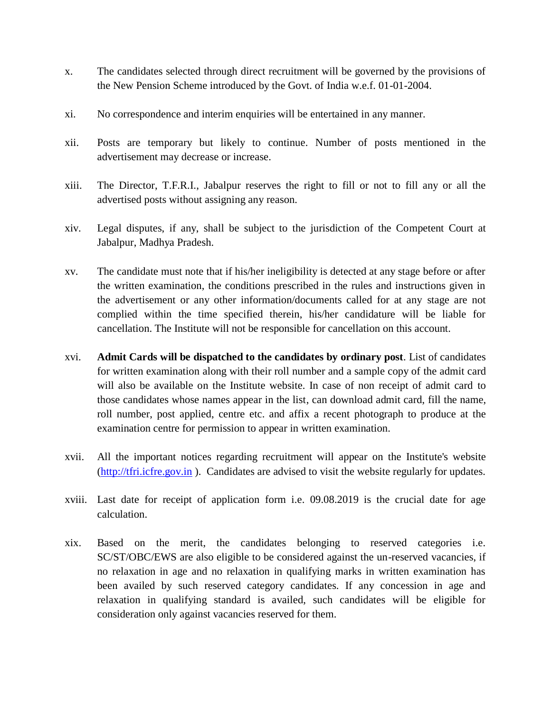- x. The candidates selected through direct recruitment will be governed by the provisions of the New Pension Scheme introduced by the Govt. of India w.e.f. 01-01-2004.
- xi. No correspondence and interim enquiries will be entertained in any manner.
- xii. Posts are temporary but likely to continue. Number of posts mentioned in the advertisement may decrease or increase.
- xiii. The Director, T.F.R.I., Jabalpur reserves the right to fill or not to fill any or all the advertised posts without assigning any reason.
- xiv. Legal disputes, if any, shall be subject to the jurisdiction of the Competent Court at Jabalpur, Madhya Pradesh.
- xv. The candidate must note that if his/her ineligibility is detected at any stage before or after the written examination, the conditions prescribed in the rules and instructions given in the advertisement or any other information/documents called for at any stage are not complied within the time specified therein, his/her candidature will be liable for cancellation. The Institute will not be responsible for cancellation on this account.
- xvi. **Admit Cards will be dispatched to the candidates by ordinary post**. List of candidates for written examination along with their roll number and a sample copy of the admit card will also be available on the Institute website. In case of non receipt of admit card to those candidates whose names appear in the list, can download admit card, fill the name, roll number, post applied, centre etc. and affix a recent photograph to produce at the examination centre for permission to appear in written examination.
- xvii. All the important notices regarding recruitment will appear on the Institute's website [\(http://tfri.icfre.gov.in](http://tfri.icfre.gov.in/) ). Candidates are advised to visit the website regularly for updates.
- xviii. Last date for receipt of application form i.e. 09.08.2019 is the crucial date for age calculation.
- xix. Based on the merit, the candidates belonging to reserved categories i.e. SC/ST/OBC/EWS are also eligible to be considered against the un-reserved vacancies, if no relaxation in age and no relaxation in qualifying marks in written examination has been availed by such reserved category candidates. If any concession in age and relaxation in qualifying standard is availed, such candidates will be eligible for consideration only against vacancies reserved for them.